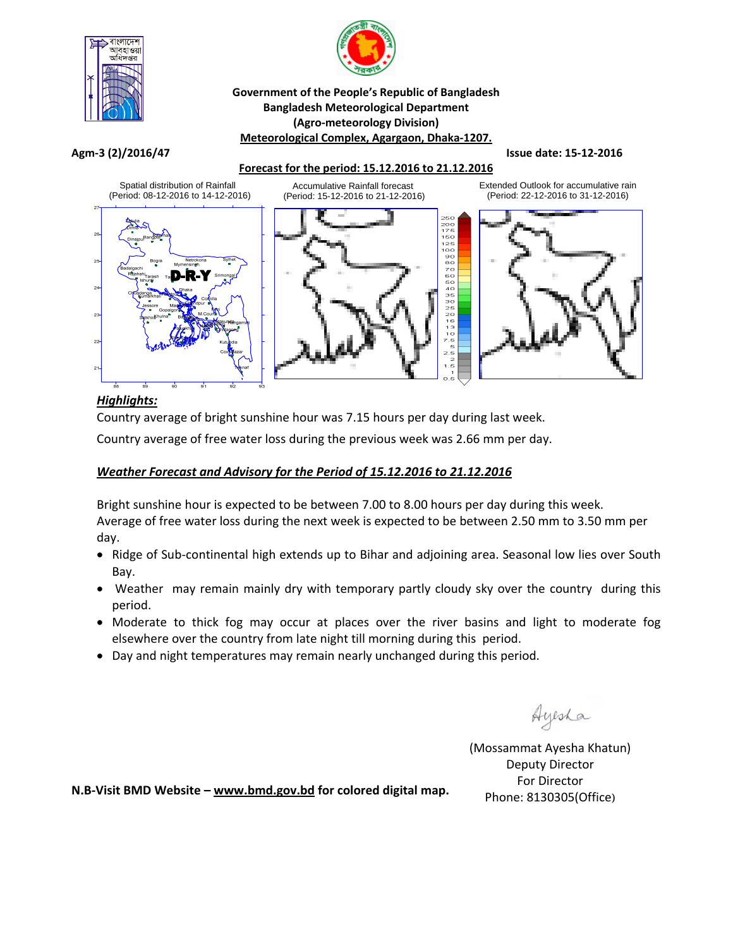



### **Government of the People's Republic of Bangladesh Bangladesh Meteorological Department (Agro‐meteorology Division) Meteorological Complex, Agargaon, Dhaka‐1207.**

#### Agm-3 (2)/2016/47 Superior Section 1 Section 1 Section 1 Section 1 Section 1 Section 1 Section 1 Section 1 Section 1 Section 1 Section 1 Section 1 Section 1 Section 1 Section 1 Section 1 Section 1 Section 1 Section 1 Secti

## **Forecast for the period: 15.12.2016 to 21.12.2016**



## *Highlights:*

Country average of bright sunshine hour was 7.15 hours per day during last week.

Country average of free water loss during the previous week was 2.66 mm per day.

## *Weather Forecast and Advisory for the Period of 15.12.2016 to 21.12.2016*

Bright sunshine hour is expected to be between 7.00 to 8.00 hours per day during this week. Average of free water loss during the next week is expected to be between 2.50 mm to 3.50 mm per day.

- Ridge of Sub-continental high extends up to Bihar and adjoining area. Seasonal low lies over South Bay.
- Weather may remain mainly dry with temporary partly cloudy sky over the country during this period.
- Moderate to thick fog may occur at places over the river basins and light to moderate fog elsewhere over the country from late night till morning during this period.
- Day and night temperatures may remain nearly unchanged during this period.

Ayesha

(Mossammat Ayesha Khatun) Deputy Director For Director Phone: 8130305(Office)

**N.B‐Visit BMD Website – www.bmd.gov.bd for colored digital map.**

Extended Outlook for accumulative rain (Period: 22-12-2016 to 31-12-2016)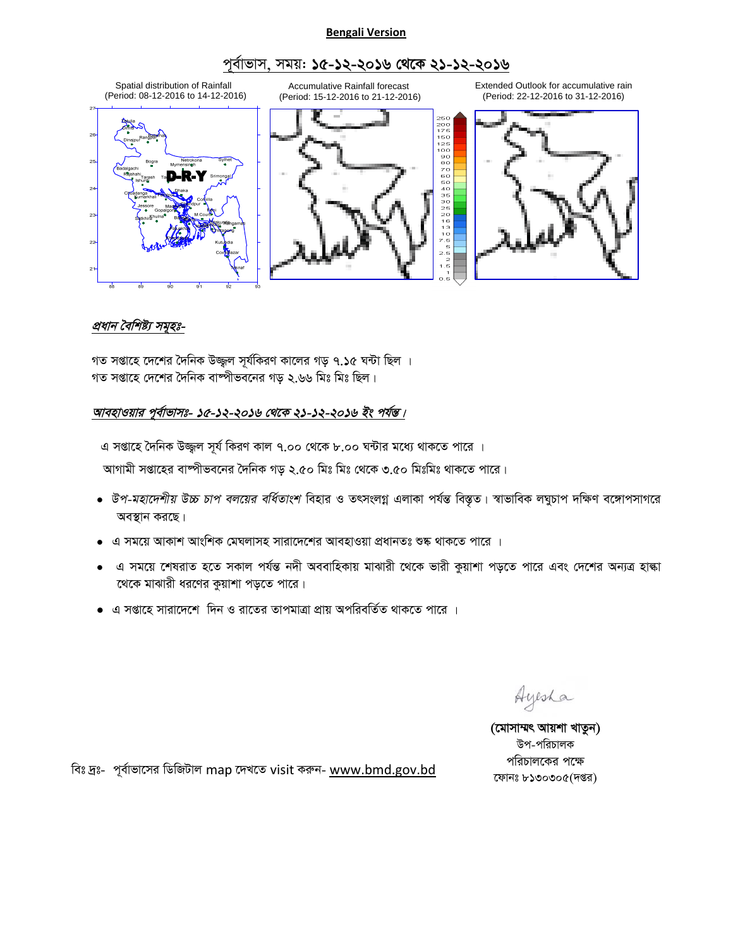#### **Bengali Version**

# পূৰ্বাভাস, সময়: **১৫-১২-২০১৬ থেকে ২১-১২-২০১৬**



# প্ৰধান বৈশিষ্ট্য সম<del>ূ</del>হঃ-

গত সপ্তাহে দেশের দৈনিক উজ্জ্বল সূর্যকিরণ কালের গড় ৭.১৫ ঘন্টা ছিল । গত সপ্তাহে দেশের দৈনিক বাম্পীভবনের গড ২.৬৬ মিঃ মিঃ ছিল।

## আবহাওয়ার পূর্বাভাসঃ- ১৫-১২-২০১৬ থেকে ২১-১২-২০১৬ *ইং পর্য*ন্ত।

এ সপ্তাহে দৈনিক উজ্জ্বল সূর্য কিরণ কাল ৭.০০ থেকে ৮.০০ ঘন্টার মধ্যে থাকতে পারে ।

আগামী সপ্তাহের বাষ্পীভবনের দৈনিক গড় ২.৫০ মিঃ মিঃ থেকে ৩.৫০ মিঃমিঃ থাকতে পারে।

- *উপ-মহাদেশীয় উচ্চ চাপ বলয়ের বর্ধিতাংশ* বিহার ও তৎসংলগ্ন এলাকা পর্যন্ত বিস্তৃত। স্বাভাবিক লঘুচাপ দক্ষিণ বঙ্গোপসাগরে অবস্থান করছে।
- $\bullet$  এ সময়ে আকাশ আংশিক মেঘলাসহ সারাদেশের আবহাওয়া প্রধানতঃ শুষ্ক থাকতে পারে ।
- এ সময়ে শেষরাত হতে সকাল পর্যন্ত নদী অববাহিকায় মাঝারী থেকে ভারী কুয়াশা পড়তে পারে এবং দেশের অন্যত্র হাঙ্কা থেকে মাঝারী ধরণের কুয়াশা পড়তে পারে।
- এ সপ্তাহে সারাদেশে দিন ও রাতের তাপমাত্রা প্রায় অপরিবর্তিত থাকতে পারে ।

Ayesha

(মোসাম্মৎ আয়শা খাতুন) উপ-পরিচালক পরিচালকের পক্ষে ফোনঃ ৮১৩০৩০৫(দপ্তর)

বিঃ দ্রঃ- পূর্বাভাসের ডিজিটাল map দেখতে visit করুন- www.bmd.gov.bd